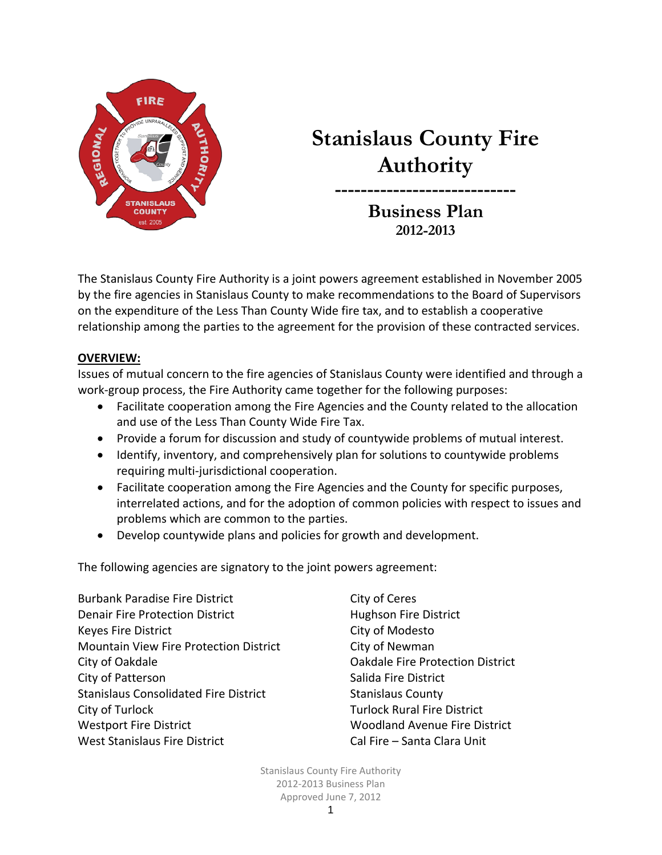

# **Stanislaus County Fire Authority**

**---------------------------- Business Plan 2012-2013**

The Stanislaus County Fire Authority is a joint powers agreement established in November 2005 by the fire agencies in Stanislaus County to make recommendations to the Board of Supervisors on the expenditure of the Less Than County Wide fire tax, and to establish a cooperative relationship among the parties to the agreement for the provision of these contracted services.

### **OVERVIEW:**

Issues of mutual concern to the fire agencies of Stanislaus County were identified and through a work‐group process, the Fire Authority came together for the following purposes:

- Facilitate cooperation among the Fire Agencies and the County related to the allocation and use of the Less Than County Wide Fire Tax.
- Provide a forum for discussion and study of countywide problems of mutual interest.
- Identify, inventory, and comprehensively plan for solutions to countywide problems requiring multi‐jurisdictional cooperation.
- Facilitate cooperation among the Fire Agencies and the County for specific purposes, interrelated actions, and for the adoption of common policies with respect to issues and problems which are common to the parties.
- Develop countywide plans and policies for growth and development.

The following agencies are signatory to the joint powers agreement:

Burbank Paradise Fire District **Example 20 Series** City of Ceres Denair Fire Protection District 
Hughson Fire District Keyes Fire District **City of Modesto** Mountain View Fire Protection District City of Newman City of Oakdale Oakdale Fire Protection District City of Patterson **City of Patterson** Stanislaus Consolidated Fire District **Stanislaus County** City of Turlock Turlock Rural Fire District Westport Fire District **WEST** 80 Moodland Avenue Fire District West Stanislaus Fire District **Standard Clare Cal Fire – Santa Clara Unit**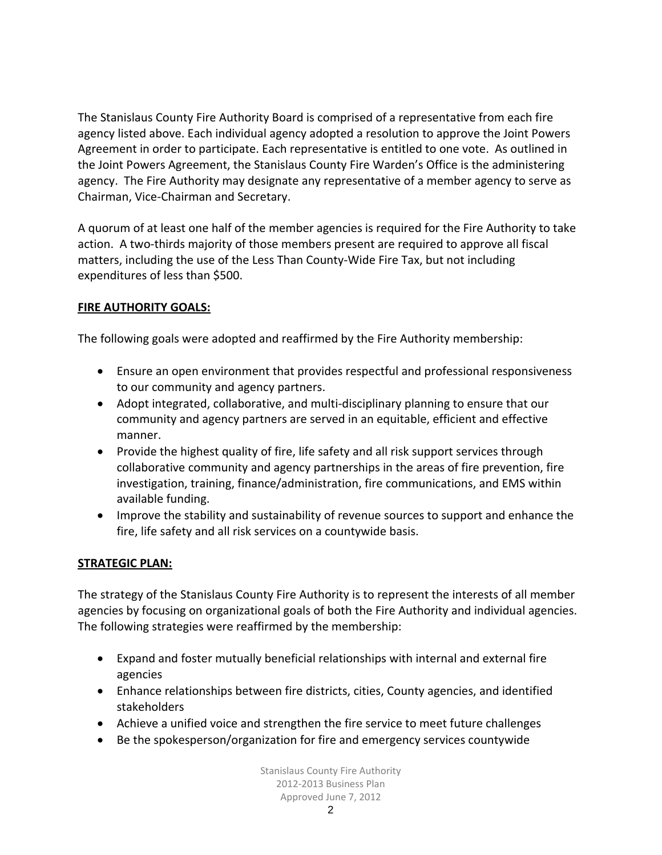The Stanislaus County Fire Authority Board is comprised of a representative from each fire agency listed above. Each individual agency adopted a resolution to approve the Joint Powers Agreement in order to participate. Each representative is entitled to one vote. As outlined in the Joint Powers Agreement, the Stanislaus County Fire Warden's Office is the administering agency. The Fire Authority may designate any representative of a member agency to serve as Chairman, Vice‐Chairman and Secretary.

A quorum of at least one half of the member agencies is required for the Fire Authority to take action. A two-thirds majority of those members present are required to approve all fiscal matters, including the use of the Less Than County‐Wide Fire Tax, but not including expenditures of less than \$500.

# **FIRE AUTHORITY GOALS:**

The following goals were adopted and reaffirmed by the Fire Authority membership:

- Ensure an open environment that provides respectful and professional responsiveness to our community and agency partners.
- Adopt integrated, collaborative, and multi‐disciplinary planning to ensure that our community and agency partners are served in an equitable, efficient and effective manner.
- Provide the highest quality of fire, life safety and all risk support services through collaborative community and agency partnerships in the areas of fire prevention, fire investigation, training, finance/administration, fire communications, and EMS within available funding.
- Improve the stability and sustainability of revenue sources to support and enhance the fire, life safety and all risk services on a countywide basis.

# **STRATEGIC PLAN:**

The strategy of the Stanislaus County Fire Authority is to represent the interests of all member agencies by focusing on organizational goals of both the Fire Authority and individual agencies. The following strategies were reaffirmed by the membership:

- Expand and foster mutually beneficial relationships with internal and external fire agencies
- Enhance relationships between fire districts, cities, County agencies, and identified stakeholders
- Achieve a unified voice and strengthen the fire service to meet future challenges
- Be the spokesperson/organization for fire and emergency services countywide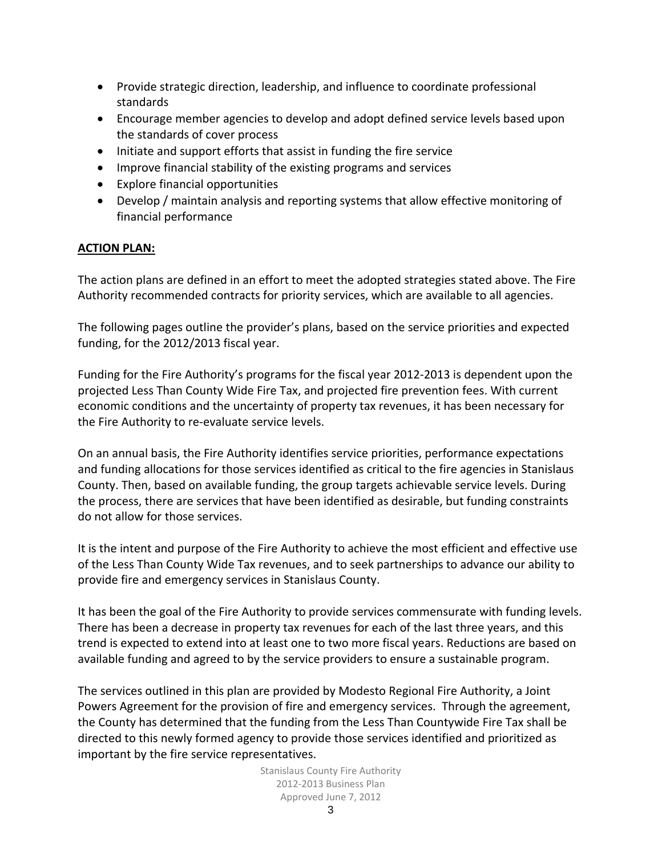- Provide strategic direction, leadership, and influence to coordinate professional standards
- Encourage member agencies to develop and adopt defined service levels based upon the standards of cover process
- Initiate and support efforts that assist in funding the fire service
- Improve financial stability of the existing programs and services
- Explore financial opportunities
- Develop / maintain analysis and reporting systems that allow effective monitoring of financial performance

### **ACTION PLAN:**

The action plans are defined in an effort to meet the adopted strategies stated above. The Fire Authority recommended contracts for priority services, which are available to all agencies.

The following pages outline the provider's plans, based on the service priorities and expected funding, for the 2012/2013 fiscal year.

Funding for the Fire Authority's programs for the fiscal year 2012‐2013 is dependent upon the projected Less Than County Wide Fire Tax, and projected fire prevention fees. With current economic conditions and the uncertainty of property tax revenues, it has been necessary for the Fire Authority to re‐evaluate service levels.

On an annual basis, the Fire Authority identifies service priorities, performance expectations and funding allocations for those services identified as critical to the fire agencies in Stanislaus County. Then, based on available funding, the group targets achievable service levels. During the process, there are services that have been identified as desirable, but funding constraints do not allow for those services.

It is the intent and purpose of the Fire Authority to achieve the most efficient and effective use of the Less Than County Wide Tax revenues, and to seek partnerships to advance our ability to provide fire and emergency services in Stanislaus County.

It has been the goal of the Fire Authority to provide services commensurate with funding levels. There has been a decrease in property tax revenues for each of the last three years, and this trend is expected to extend into at least one to two more fiscal years. Reductions are based on available funding and agreed to by the service providers to ensure a sustainable program.

The services outlined in this plan are provided by Modesto Regional Fire Authority, a Joint Powers Agreement for the provision of fire and emergency services. Through the agreement, the County has determined that the funding from the Less Than Countywide Fire Tax shall be directed to this newly formed agency to provide those services identified and prioritized as important by the fire service representatives.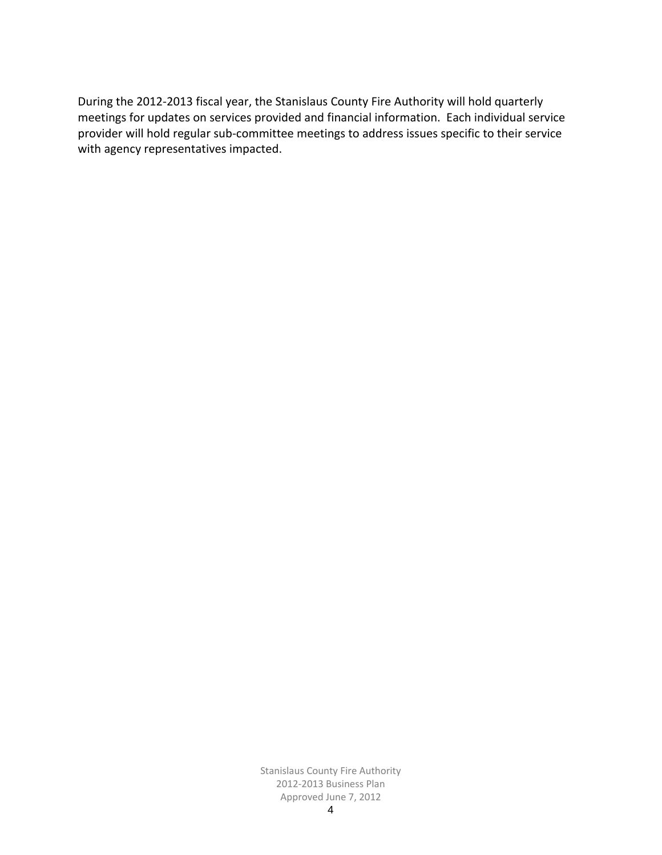During the 2012‐2013 fiscal year, the Stanislaus County Fire Authority will hold quarterly meetings for updates on services provided and financial information. Each individual service provider will hold regular sub‐committee meetings to address issues specific to their service with agency representatives impacted.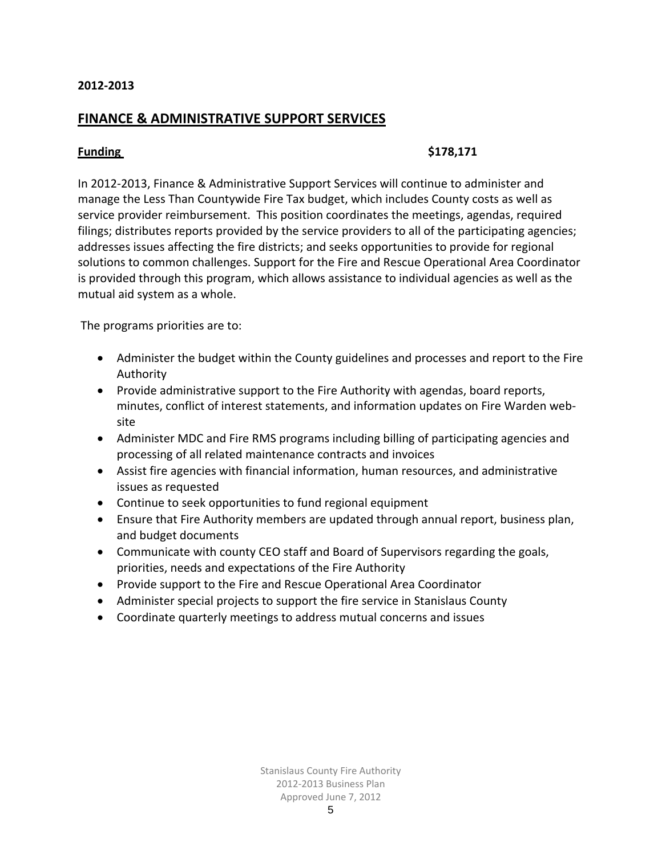# **FINANCE & ADMINISTRATIVE SUPPORT SERVICES**

### **Funding** \$178,171

In 2012‐2013, Finance & Administrative Support Services will continue to administer and manage the Less Than Countywide Fire Tax budget, which includes County costs as well as service provider reimbursement. This position coordinates the meetings, agendas, required filings; distributes reports provided by the service providers to all of the participating agencies; addresses issues affecting the fire districts; and seeks opportunities to provide for regional solutions to common challenges. Support for the Fire and Rescue Operational Area Coordinator is provided through this program, which allows assistance to individual agencies as well as the mutual aid system as a whole.

The programs priorities are to:

- Administer the budget within the County guidelines and processes and report to the Fire Authority
- Provide administrative support to the Fire Authority with agendas, board reports, minutes, conflict of interest statements, and information updates on Fire Warden web‐ site
- Administer MDC and Fire RMS programs including billing of participating agencies and processing of all related maintenance contracts and invoices
- Assist fire agencies with financial information, human resources, and administrative issues as requested
- Continue to seek opportunities to fund regional equipment
- Ensure that Fire Authority members are updated through annual report, business plan, and budget documents
- Communicate with county CEO staff and Board of Supervisors regarding the goals, priorities, needs and expectations of the Fire Authority
- Provide support to the Fire and Rescue Operational Area Coordinator
- Administer special projects to support the fire service in Stanislaus County
- Coordinate quarterly meetings to address mutual concerns and issues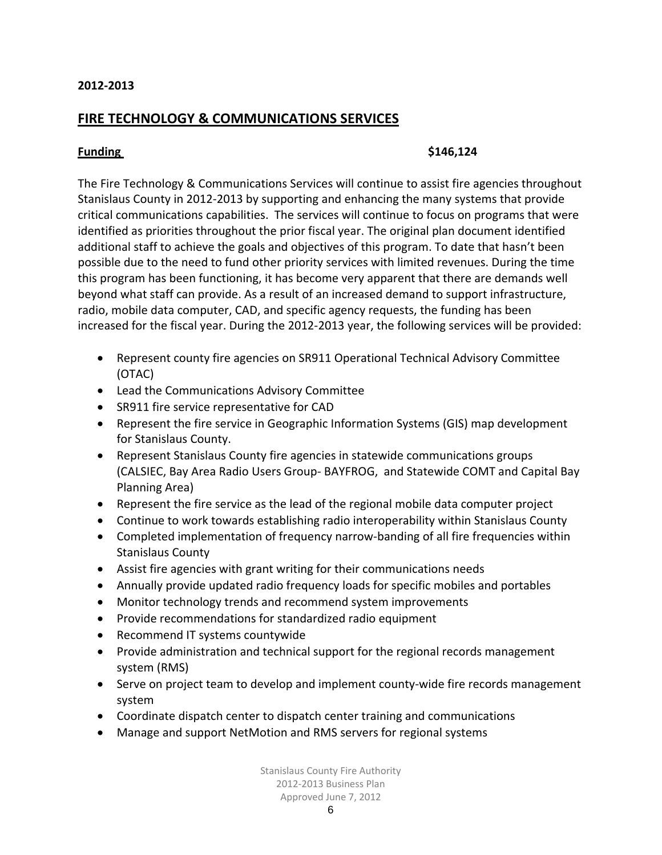# **FIRE TECHNOLOGY & COMMUNICATIONS SERVICES**

#### **Funding** \$146,124

The Fire Technology & Communications Services will continue to assist fire agencies throughout Stanislaus County in 2012‐2013 by supporting and enhancing the many systems that provide critical communications capabilities. The services will continue to focus on programs that were identified as priorities throughout the prior fiscal year. The original plan document identified additional staff to achieve the goals and objectives of this program. To date that hasn't been possible due to the need to fund other priority services with limited revenues. During the time this program has been functioning, it has become very apparent that there are demands well beyond what staff can provide. As a result of an increased demand to support infrastructure, radio, mobile data computer, CAD, and specific agency requests, the funding has been increased for the fiscal year. During the 2012‐2013 year, the following services will be provided:

- Represent county fire agencies on SR911 Operational Technical Advisory Committee (OTAC)
- Lead the Communications Advisory Committee
- SR911 fire service representative for CAD
- Represent the fire service in Geographic Information Systems (GIS) map development for Stanislaus County.
- Represent Stanislaus County fire agencies in statewide communications groups (CALSIEC, Bay Area Radio Users Group‐ BAYFROG, and Statewide COMT and Capital Bay Planning Area)
- Represent the fire service as the lead of the regional mobile data computer project
- Continue to work towards establishing radio interoperability within Stanislaus County
- Completed implementation of frequency narrow‐banding of all fire frequencies within Stanislaus County
- Assist fire agencies with grant writing for their communications needs
- Annually provide updated radio frequency loads for specific mobiles and portables
- Monitor technology trends and recommend system improvements
- Provide recommendations for standardized radio equipment
- Recommend IT systems countywide
- Provide administration and technical support for the regional records management system (RMS)
- Serve on project team to develop and implement county‐wide fire records management system
- Coordinate dispatch center to dispatch center training and communications
- Manage and support NetMotion and RMS servers for regional systems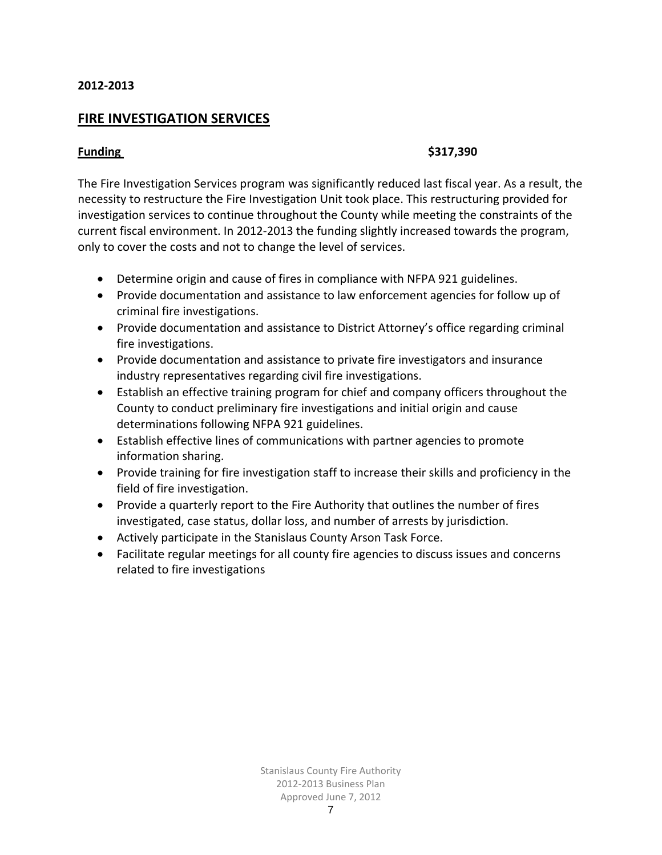# **FIRE INVESTIGATION SERVICES**

#### **Funding** \$317,390

The Fire Investigation Services program was significantly reduced last fiscal year. As a result, the necessity to restructure the Fire Investigation Unit took place. This restructuring provided for investigation services to continue throughout the County while meeting the constraints of the current fiscal environment. In 2012‐2013 the funding slightly increased towards the program, only to cover the costs and not to change the level of services.

- Determine origin and cause of fires in compliance with NFPA 921 guidelines.
- Provide documentation and assistance to law enforcement agencies for follow up of criminal fire investigations.
- Provide documentation and assistance to District Attorney's office regarding criminal fire investigations.
- Provide documentation and assistance to private fire investigators and insurance industry representatives regarding civil fire investigations.
- Establish an effective training program for chief and company officers throughout the County to conduct preliminary fire investigations and initial origin and cause determinations following NFPA 921 guidelines.
- Establish effective lines of communications with partner agencies to promote information sharing.
- Provide training for fire investigation staff to increase their skills and proficiency in the field of fire investigation.
- Provide a quarterly report to the Fire Authority that outlines the number of fires investigated, case status, dollar loss, and number of arrests by jurisdiction.
- Actively participate in the Stanislaus County Arson Task Force.
- Facilitate regular meetings for all county fire agencies to discuss issues and concerns related to fire investigations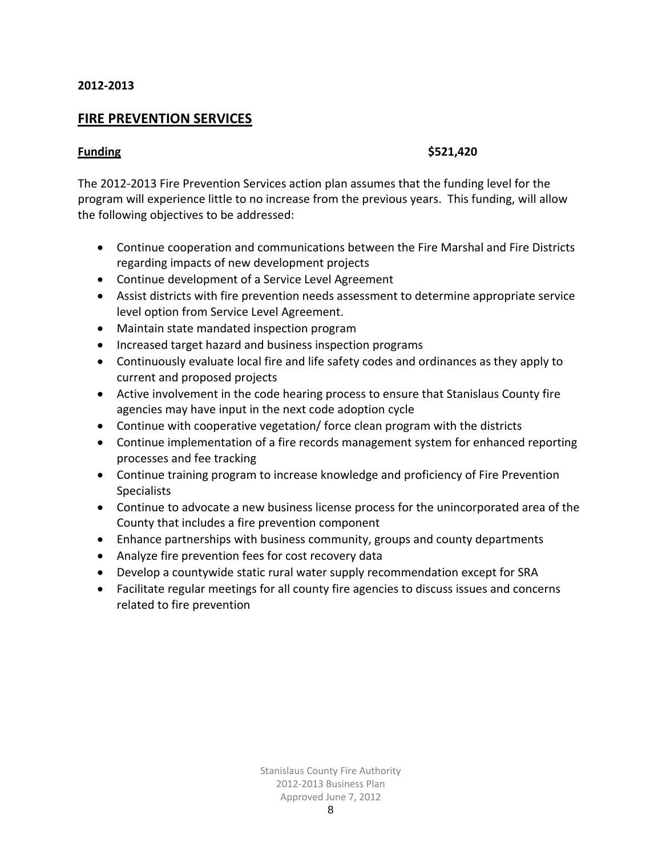# **FIRE PREVENTION SERVICES**

#### **Funding**  $\left\{5521,420\right\}$

The 2012‐2013 Fire Prevention Services action plan assumes that the funding level for the program will experience little to no increase from the previous years. This funding, will allow the following objectives to be addressed:

- Continue cooperation and communications between the Fire Marshal and Fire Districts regarding impacts of new development projects
- Continue development of a Service Level Agreement
- Assist districts with fire prevention needs assessment to determine appropriate service level option from Service Level Agreement.
- Maintain state mandated inspection program
- Increased target hazard and business inspection programs
- Continuously evaluate local fire and life safety codes and ordinances as they apply to current and proposed projects
- Active involvement in the code hearing process to ensure that Stanislaus County fire agencies may have input in the next code adoption cycle
- Continue with cooperative vegetation/ force clean program with the districts
- Continue implementation of a fire records management system for enhanced reporting processes and fee tracking
- Continue training program to increase knowledge and proficiency of Fire Prevention **Specialists**
- Continue to advocate a new business license process for the unincorporated area of the County that includes a fire prevention component
- Enhance partnerships with business community, groups and county departments
- Analyze fire prevention fees for cost recovery data
- Develop a countywide static rural water supply recommendation except for SRA
- Facilitate regular meetings for all county fire agencies to discuss issues and concerns related to fire prevention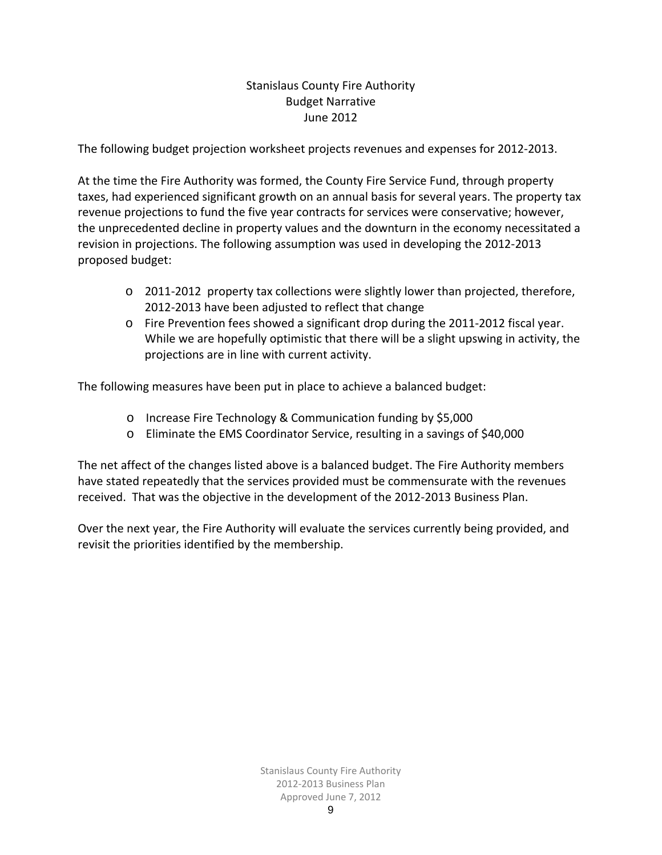# Stanislaus County Fire Authority Budget Narrative June 2012

The following budget projection worksheet projects revenues and expenses for 2012‐2013.

At the time the Fire Authority was formed, the County Fire Service Fund, through property taxes, had experienced significant growth on an annual basis for several years. The property tax revenue projections to fund the five year contracts for services were conservative; however, the unprecedented decline in property values and the downturn in the economy necessitated a revision in projections. The following assumption was used in developing the 2012‐2013 proposed budget:

- $\circ$  2011-2012 property tax collections were slightly lower than projected, therefore, 2012‐2013 have been adjusted to reflect that change
- o Fire Prevention fees showed a significant drop during the 2011‐2012 fiscal year. While we are hopefully optimistic that there will be a slight upswing in activity, the projections are in line with current activity.

The following measures have been put in place to achieve a balanced budget:

- o Increase Fire Technology & Communication funding by \$5,000
- o Eliminate the EMS Coordinator Service, resulting in a savings of \$40,000

The net affect of the changes listed above is a balanced budget. The Fire Authority members have stated repeatedly that the services provided must be commensurate with the revenues received. That was the objective in the development of the 2012‐2013 Business Plan.

Over the next year, the Fire Authority will evaluate the services currently being provided, and revisit the priorities identified by the membership.